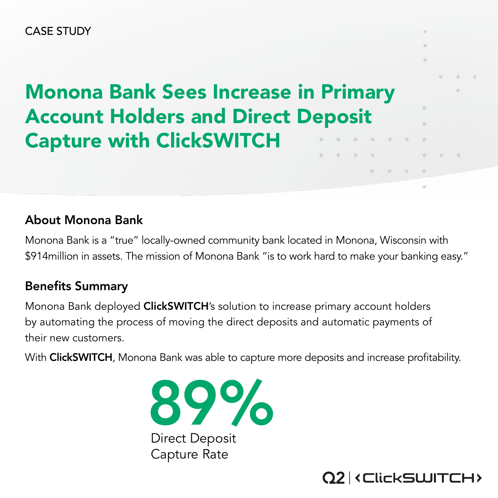#### About Monona Bank

Monona Bank is a "true" locally-owned community bank located in Monona, Wisconsin with \$914million in assets. The mission of Monona Bank "is to work hard to make your banking easy."

#### Benefits Summary

Monona Bank deployed ClickSWITCH's solution to increase primary account holders by automating the process of moving the direct deposits and automatic payments of their new customers.

With ClickSWITCH, Monona Bank was able to capture more deposits and increase profitability.

# Monona Bank Sees Increase in Primary Account Holders and Direct Deposit Capture with ClickSWITCH



#### Direct Deposit Capture Rate



CASE STUDY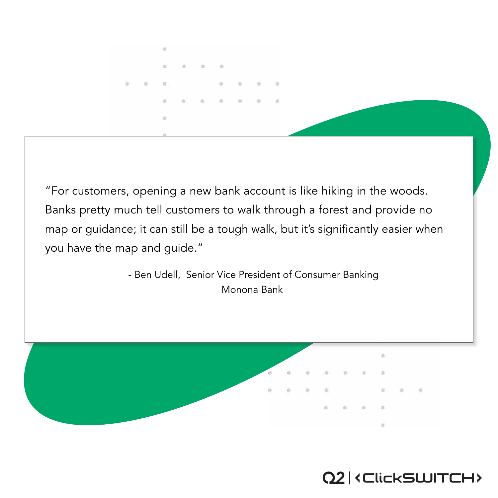$\langle \cdot \rangle$ 

"For customers, opening a new bank account is like hiking in the woods. Banks pretty much tell customers to walk through a forest and provide no map or guidance; it can still be a tough walk, but it's significantly easier when you have the map and guide."

> - Ben Udell, Senior Vice President of Consumer Banking Monona Bank





 $\left\langle \cdot \right\rangle$